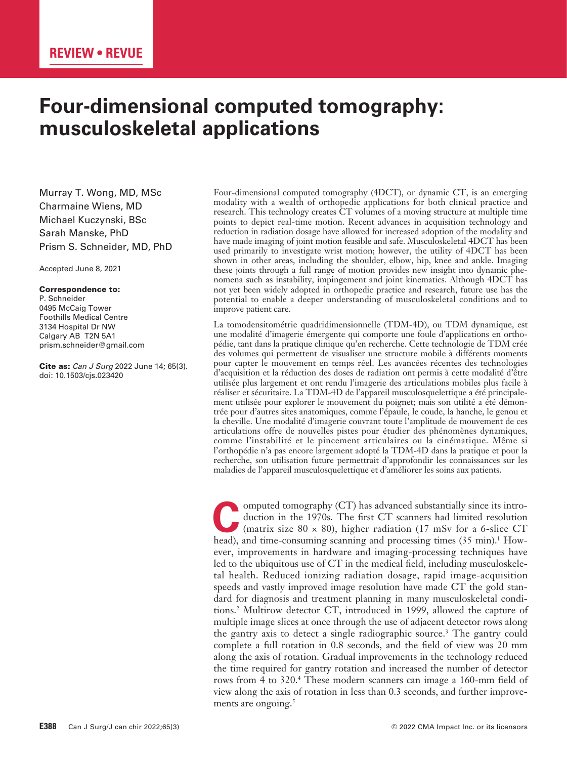# **Four-dimensional computed tomography: musculoskeletal applications**

Murray T. Wong, MD, MSc Charmaine Wiens, MD Michael Kuczynski, BSc Sarah Manske, PhD Prism S. Schneider, MD, PhD

Accepted June 8, 2021

#### Correspondence to:

P. Schneider 0495 McCaig Tower Foothills Medical Centre 3134 Hospital Dr NW Calgary AB T2N 5A1 prism.schneider@gmail.com

Cite as: *Can J Surg* 2022 June 14; 65(3). doi: 10.1503/cjs.023420

Four-dimensional computed tomography (4DCT), or dynamic CT, is an emerging modality with a wealth of orthopedic applications for both clinical practice and research. This technology creates CT volumes of a moving structure at multiple time points to depict real-time motion. Recent advances in acquisition technology and reduction in radiation dosage have allowed for increased adoption of the modality and have made imaging of joint motion feasible and safe. Musculoskeletal 4DCT has been used primarily to investigate wrist motion; however, the utility of 4DCT has been shown in other areas, including the shoulder, elbow, hip, knee and ankle. Imaging these joints through a full range of motion provides new insight into dynamic phenomena such as instability, impingement and joint kinematics. Although 4DCT has not yet been widely adopted in orthopedic practice and research, future use has the potential to enable a deeper understanding of musculoskeletal conditions and to improve patient care.

La tomodensitométrie quadridimensionnelle (TDM-4D), ou TDM dynamique, est une modalité d'imagerie émergente qui comporte une foule d'applications en orthopédie, tant dans la pratique clinique qu'en recherche. Cette technologie de TDM crée des volumes qui permettent de visualiser une structure mobile à différents moments pour capter le mouvement en temps réel. Les avancées récentes des technologies d'acquisition et la réduction des doses de radiation ont permis à cette modalité d'être utilisée plus largement et ont rendu l'imagerie des articulations mobiles plus facile à réaliser et sécuritaire. La TDM-4D de l'appareil musculosquelettique a été principalement utilisée pour explorer le mouvement du poignet; mais son utilité a été démontrée pour d'autres sites anatomiques, comme l'épaule, le coude, la hanche, le genou et la cheville. Une modalité d'imagerie couvrant toute l'amplitude de mouvement de ces articulations offre de nouvelles pistes pour étudier des phénomènes dynamiques, comme l'instabilité et le pincement articulaires ou la cinématique. Même si l'orthopédie n'a pas encore largement adopté la TDM-4D dans la pratique et pour la recherche, son utilisation future permettrait d'approfondir les connaissances sur les maladies de l'appareil musculosquelettique et d'améliorer les soins aux patients.

omputed tomography (CT) has advanced substantially since its intro-<br>duction in the 1970s. The first CT scanners had limited resolution<br>(matrix size 80 × 80), higher radiation (17 mSv for a 6-slice CT<br>head), and time consum duction in the 1970s. The first CT scanners had limited resolution (matrix size 80  $\times$  80), higher radiation (17 mSv for a 6-slice CT head), and time-consuming scanning and processing times (35 min).<sup>1</sup> However, improvements in hardware and imaging-processing techniques have led to the ubiquitous use of CT in the medical field, including musculoskeletal health. Reduced ionizing radiation dosage, rapid image-acquisition speeds and vastly improved image resolution have made CT the gold standard for diagnosis and treatment planning in many musculoskeletal conditions.2 Multirow detector CT, introduced in 1999, allowed the capture of multiple image slices at once through the use of adjacent detector rows along the gantry axis to detect a single radiographic source.3 The gantry could complete a full rotation in 0.8 seconds, and the field of view was 20 mm along the axis of rotation. Gradual improvements in the technology reduced the time required for gantry rotation and increased the number of detector rows from 4 to 320.<sup>4</sup> These modern scanners can image a 160-mm field of view along the axis of rotation in less than 0.3 seconds, and further improvements are ongoing.<sup>5</sup>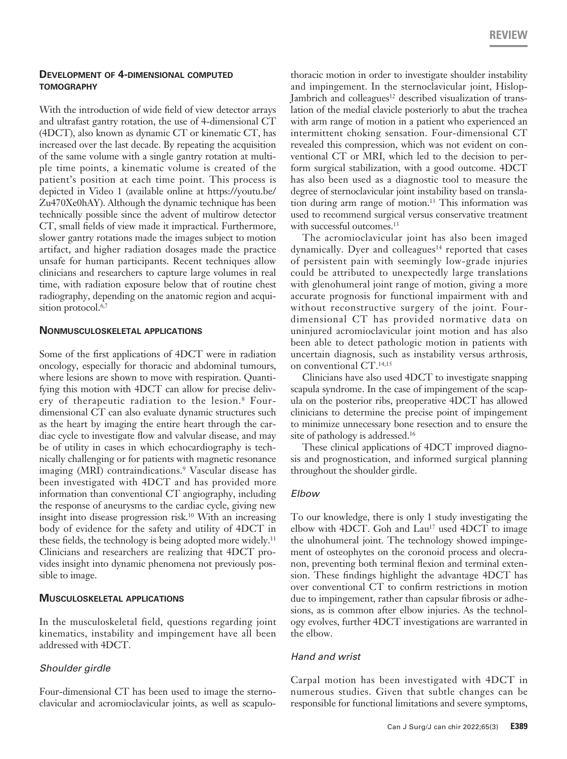### **Development of 4-dimensional computed tomography**

With the introduction of wide field of view detector arrays and ultrafast gantry rotation, the use of 4-dimensional CT (4DCT), also known as dynamic CT or kinematic CT, has increased over the last decade. By repeating the acquisition of the same volume with a single gantry rotation at multiple time points, a kinematic volume is created of the patient's position at each time point. This process is depicted in Video 1 (available online at https://youtu.be/ Zu470Xe0hAY). Although the dynamic technique has been technically possible since the advent of multirow detector CT, small fields of view made it impractical. Furthermore, slower gantry rotations made the images subject to motion artifact, and higher radiation dosages made the practice unsafe for human participants. Recent techniques allow clinicians and researchers to capture large volumes in real time, with radiation exposure below that of routine chest radiography, depending on the anatomic region and acquisition protocol.<sup>6,7</sup>

#### **Nonmusculoskeletal applications**

Some of the first applications of 4DCT were in radiation oncology, especially for thoracic and abdominal tumours, where lesions are shown to move with respiration. Quantifying this motion with 4DCT can allow for precise delivery of therapeutic radiation to the lesion.<sup>8</sup> Fourdimensional CT can also evaluate dynamic structures such as the heart by imaging the entire heart through the cardiac cycle to investigate flow and valvular disease, and may be of utility in cases in which echocardiography is technically challenging or for patients with magnetic resonance imaging (MRI) contraindications.9 Vascular disease has been investigated with 4DCT and has provided more information than conventional CT angiography, including the response of aneurysms to the cardiac cycle, giving new insight into disease progression risk.10 With an increasing body of evidence for the safety and utility of 4DCT in these fields, the technology is being adopted more widely.<sup>11</sup> Clinicians and researchers are realizing that 4DCT provides insight into dynamic phenomena not previously possible to image.

### **Musculoskeletal applications**

In the musculoskeletal field, questions regarding joint kinematics, instability and impingement have all been addressed with 4DCT.

### *Shoulder girdle*

Four-dimensional CT has been used to image the sternoclavicular and acromioclavicular joints, as well as scapulo-

thoracic motion in order to investigate shoulder instability and impingement. In the sternoclavicular joint, Hislop-Jambrich and colleagues<sup>12</sup> described visualization of translation of the medial clavicle posteriorly to abut the trachea with arm range of motion in a patient who experienced an intermittent choking sensation. Four-dimensional CT revealed this compression, which was not evident on conventional CT or MRI, which led to the decision to perform surgical stabilization, with a good outcome. 4DCT has also been used as a diagnostic tool to measure the degree of sternoclavicular joint instability based on translation during arm range of motion.13 This information was used to recommend surgical versus conservative treatment with successful outcomes.<sup>13</sup>

The acromioclavicular joint has also been imaged dynamically. Dyer and colleagues $14$  reported that cases of persistent pain with seemingly low-grade injuries could be attributed to unexpectedly large translations with glenohumeral joint range of motion, giving a more accurate prognosis for functional impairment with and without reconstructive surgery of the joint. Fourdimensional CT has provided normative data on uninjured acromioclavicular joint motion and has also been able to detect pathologic motion in patients with uncertain diagnosis, such as instability versus arthrosis, on conventional CT.14,15

Clinicians have also used 4DCT to investigate snapping scapula syndrome. In the case of impingement of the scapula on the posterior ribs, preoperative 4DCT has allowed clinicians to determine the precise point of impingement to minimize unnecessary bone resection and to ensure the site of pathology is addressed.<sup>16</sup>

These clinical applications of 4DCT improved diagnosis and prognostication, and informed surgical planning throughout the shoulder girdle.

### *Elbow*

To our knowledge, there is only 1 study investigating the elbow with 4DCT. Goh and  $Lau^{17}$  used 4DCT to image the ulnohumeral joint. The technology showed impingement of osteophytes on the coronoid process and olecranon, preventing both terminal flexion and terminal extension. These findings highlight the advantage 4DCT has over conventional CT to confirm restrictions in motion due to impingement, rather than capsular fibrosis or adhesions, as is common after elbow injuries. As the technology evolves, further 4DCT investigations are warranted in the elbow.

### *Hand and wrist*

Carpal motion has been investigated with 4DCT in numerous studies. Given that subtle changes can be responsible for functional limitations and severe symptoms,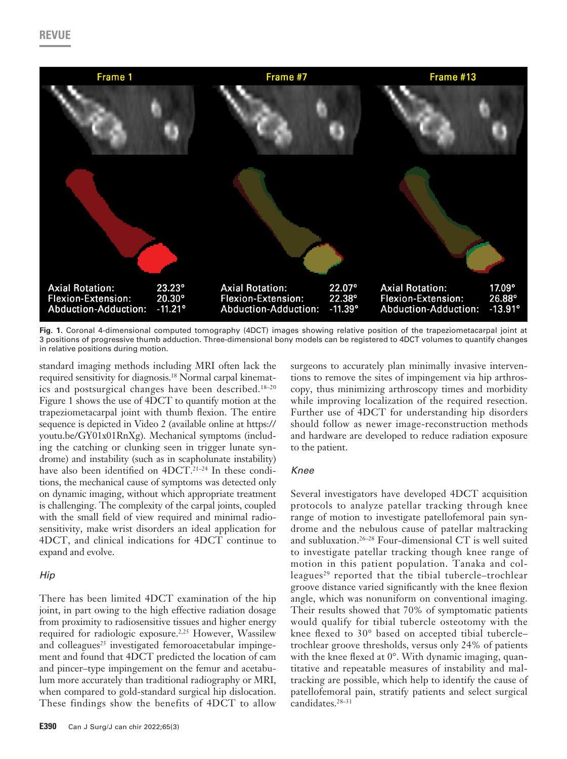

**Fig. 1.** Coronal 4-dimensional computed tomography (4DCT) images showing relative position of the trapeziometacarpal joint at 3 positions of progressive thumb adduction. Three-dimensional bony models can be registered to 4DCT volumes to quantify changes in relative positions during motion.

standard imaging methods including MRI often lack the required sensitivity for diagnosis.<sup>18</sup> Normal carpal kinematics and postsurgical changes have been described.18–20 Figure 1 shows the use of 4DCT to quantify motion at the trapeziometacarpal joint with thumb flexion. The entire sequence is depicted in Video 2 (available online at https:// youtu.be/GY01x01RnXg). Mechanical symptoms (including the catching or clunking seen in trigger lunate syndrome) and instability (such as in scapholunate instability) have also been identified on 4DCT.<sup>21-24</sup> In these conditions, the mechanical cause of symptoms was detected only on dynamic imaging, without which appropriate treatment is challenging. The complexity of the carpal joints, coupled with the small field of view required and minimal radiosensitivity, make wrist disorders an ideal application for 4DCT, and clinical indications for 4DCT continue to expand and evolve.

### *Hip*

There has been limited 4DCT examination of the hip joint, in part owing to the high effective radiation dosage from proximity to radiosensitive tissues and higher energy required for radiologic exposure.<sup>2,25</sup> However, Wassilew and colleagues<sup>25</sup> investigated femoroacetabular impingement and found that 4DCT predicted the location of cam and pincer–type impingement on the femur and acetabulum more accurately than traditional radiography or MRI, when compared to gold-standard surgical hip dislocation. These findings show the benefits of 4DCT to allow surgeons to accurately plan minimally invasive interventions to remove the sites of impingement via hip arthroscopy, thus minimizing arthroscopy times and morbidity while improving localization of the required resection. Further use of 4DCT for understanding hip disorders should follow as newer image-reconstruction methods and hardware are developed to reduce radiation exposure to the patient.

# *Knee*

Several investigators have developed 4DCT acquisition protocols to analyze patellar tracking through knee range of motion to investigate patellofemoral pain syndrome and the nebulous cause of patellar maltracking and subluxation.26–28 Four-dimensional CT is well suited to investigate patellar tracking though knee range of motion in this patient population. Tanaka and colleagues<sup>29</sup> reported that the tibial tubercle-trochlear groove distance varied significantly with the knee flexion angle, which was nonuniform on conventional imaging. Their results showed that 70% of symptomatic patients would qualify for tibial tubercle osteotomy with the knee flexed to 30° based on accepted tibial tubercle– trochlear groove thresholds, versus only 24% of patients with the knee flexed at  $0^{\circ}$ . With dynamic imaging, quantitative and repeatable measures of instability and maltracking are possible, which help to identify the cause of patellofemoral pain, stratify patients and select surgical candidates.<sup>28-31</sup>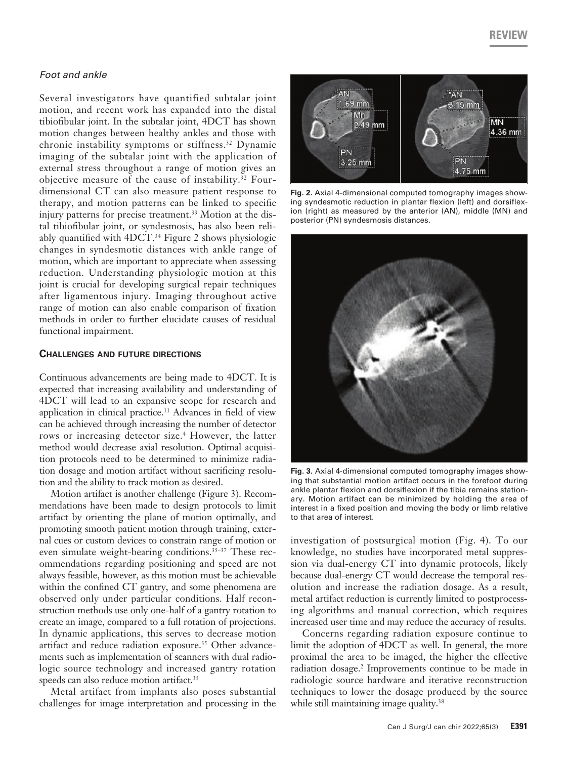## *Foot and ankle*

Several investigators have quantified subtalar joint motion, and recent work has expanded into the distal tibiofibular joint. In the subtalar joint, 4DCT has shown motion changes between healthy ankles and those with chronic instability symptoms or stiffness.<sup>32</sup> Dynamic imaging of the subtalar joint with the application of external stress throughout a range of motion gives an objective measure of the cause of instability.<sup>32</sup> Fourdimensional CT can also measure patient response to therapy, and motion patterns can be linked to specific injury patterns for precise treatment.<sup>33</sup> Motion at the distal tibiofibular joint, or syndesmosis, has also been reliably quantified with 4DCT.<sup>34</sup> Figure 2 shows physiologic changes in syndesmotic distances with ankle range of motion, which are important to appreciate when assessing reduction. Understanding physiologic motion at this joint is crucial for developing surgical repair techniques after ligamentous injury. Imaging throughout active range of motion can also enable comparison of fixation methods in order to further elucidate causes of residual functional impairment.

#### **Challenges and future directions**

Continuous advancements are being made to 4DCT. It is expected that increasing availability and understanding of 4DCT will lead to an expansive scope for research and application in clinical practice.<sup>11</sup> Advances in field of view can be achieved through increasing the number of detector rows or increasing detector size.<sup>4</sup> However, the latter method would decrease axial resolution. Optimal acquisition protocols need to be determined to minimize radiation dosage and motion artifact without sacrificing resolution and the ability to track motion as desired.

Motion artifact is another challenge (Figure 3). Recommendations have been made to design protocols to limit artifact by orienting the plane of motion optimally, and promoting smooth patient motion through training, external cues or custom devices to constrain range of motion or even simulate weight-bearing conditions.<sup>35-37</sup> These recommendations regarding positioning and speed are not always feasible, however, as this motion must be achievable within the confined CT gantry, and some phenomena are observed only under particular conditions. Half reconstruction methods use only one-half of a gantry rotation to create an image, compared to a full rotation of projections. In dynamic applications, this serves to decrease motion artifact and reduce radiation exposure.<sup>35</sup> Other advancements such as implementation of scanners with dual radiologic source technology and increased gantry rotation speeds can also reduce motion artifact.<sup>35</sup>

Metal artifact from implants also poses substantial challenges for image interpretation and processing in the



**Fig. 2.** Axial 4-dimensional computed tomography images showing syndesmotic reduction in plantar flexion (left) and dorsiflexion (right) as measured by the anterior (AN), middle (MN) and posterior (PN) syndesmosis distances.



**Fig. 3.** Axial 4-dimensional computed tomography images showing that substantial motion artifact occurs in the forefoot during ankle plantar flexion and dorsiflexion if the tibia remains stationary. Motion artifact can be minimized by holding the area of interest in a fixed position and moving the body or limb relative to that area of interest.

investigation of postsurgical motion (Fig. 4). To our knowledge, no studies have incorporated metal suppression via dual-energy CT into dynamic protocols, likely because dual-energy CT would decrease the temporal resolution and increase the radiation dosage. As a result, metal artifact reduction is currently limited to postprocessing algorithms and manual correction, which requires increased user time and may reduce the accuracy of results.

Concerns regarding radiation exposure continue to limit the adoption of 4DCT as well. In general, the more proximal the area to be imaged, the higher the effective radiation dosage.<sup>2</sup> Improvements continue to be made in radiologic source hardware and iterative reconstruction techniques to lower the dosage produced by the source while still maintaining image quality.<sup>38</sup>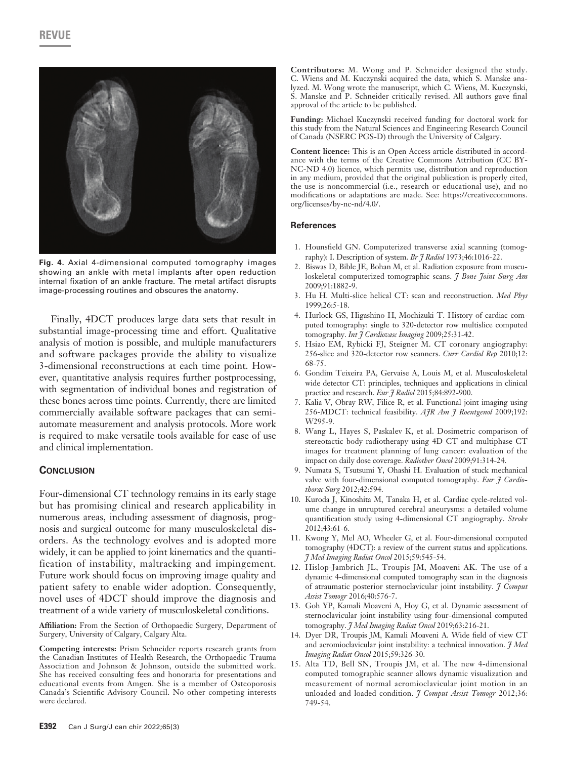

**Fig. 4.** Axial 4-dimensional computed tomography images showing an ankle with metal implants after open reduction internal fixation of an ankle fracture. The metal artifact disrupts image-processing routines and obscures the anatomy.

Finally, 4DCT produces large data sets that result in substantial image-processing time and effort. Qualitative analysis of motion is possible, and multiple manufacturers and software packages provide the ability to visualize 3-dimensional reconstructions at each time point. However, quantitative analysis requires further postprocessing, with segmentation of individual bones and registration of these bones across time points. Currently, there are limited commercially available software packages that can semiautomate measurement and analysis protocols. More work is required to make versatile tools available for ease of use and clinical implementation.

#### **Conclusion**

Four-dimensional CT technology remains in its early stage but has promising clinical and research applicability in numerous areas, including assessment of diagnosis, prognosis and surgical outcome for many musculoskeletal disorders. As the technology evolves and is adopted more widely, it can be applied to joint kinematics and the quantification of instability, maltracking and impingement. Future work should focus on improving image quality and patient safety to enable wider adoption. Consequently, novel uses of 4DCT should improve the diagnosis and treatment of a wide variety of musculoskeletal conditions.

**Affiliation:** From the Section of Orthopaedic Surgery, Department of Surgery, University of Calgary, Calgary Alta.

**Competing interests:** Prism Schneider reports research grants from the Canadian Institutes of Health Research, the Orthopaedic Trauma Association and Johnson & Johnson, outside the submitted work. She has received consulting fees and honoraria for presentations and educational events from Amgen. She is a member of Osteoporosis Canada's Scientific Advisory Council. No other competing interests were declared.

**Contributors:** M. Wong and P. Schneider designed the study. C. Wiens and M. Kuczynski acquired the data, which S. Manske analyzed. M. Wong wrote the manuscript, which C. Wiens, M. Kuczynski, S. Manske and P. Schneider critically revised. All authors gave final approval of the article to be published.

**Funding:** Michael Kuczynski received funding for doctoral work for this study from the Natural Sciences and Engineering Research Council of Canada (NSERC PGS-D) through the University of Calgary.

**Content licence:** This is an Open Access article distributed in accordance with the terms of the Creative Commons Attribution (CC BY-NC-ND 4.0) licence, which permits use, distribution and reproduction in any medium, provided that the original publication is properly cited, the use is noncommercial (i.e., research or educational use), and no modifications or adaptations are made. See: https://creativecommons. org/licenses/by-nc-nd/4.0/.

#### **References**

- 1. Hounsfield GN. Computerized transverse axial scanning (tomography): I. Description of system. *Br J Radiol* 1973;46:1016-22.
- 2. Biswas D, Bible JE, Bohan M, et al. Radiation exposure from musculoskeletal computerized tomographic scans. *J Bone Joint Surg Am* 2009;91:1882-9.
- 3. Hu H. Multi-slice helical CT: scan and reconstruction. *Med Phys* 1999;26:5-18.
- 4. Hurlock GS, Higashino H, Mochizuki T. History of cardiac computed tomography: single to 320-detector row multislice computed tomography. *Int J Cardiovasc Imaging* 2009;25:31-42.
- 5. Hsiao EM, Rybicki FJ, Steigner M. CT coronary angiography: 256-slice and 320-detector row scanners. *Curr Cardiol Rep* 2010;12: 68-75.
- 6. Gondim Teixeira PA, Gervaise A, Louis M, et al. Musculoskeletal wide detector CT: principles, techniques and applications in clinical practice and research. *Eur J Radiol* 2015;84:892-900.
- 7. Kalia V, Obray RW, Filice R, et al. Functional joint imaging using 256-MDCT: technical feasibility. *AJR Am J Roentgenol* 2009;192: W295-9.
- 8. Wang L, Hayes S, Paskalev K, et al. Dosimetric comparison of stereotactic body radiotherapy using 4D CT and multiphase CT images for treatment planning of lung cancer: evaluation of the impact on daily dose coverage. *Radiother Oncol* 2009;91:314-24.
- 9. Numata S, Tsutsumi Y, Ohashi H. Evaluation of stuck mechanical valve with four-dimensional computed tomography. *Eur J Cardiothorac Surg* 2012;42:594.
- 10. Kuroda J, Kinoshita M, Tanaka H, et al. Cardiac cycle-related volume change in unruptured cerebral aneurysms: a detailed volume quantification study using 4-dimensional CT angiography. *Stroke* 2012;43:61-6.
- 11. Kwong Y, Mel AO, Wheeler G, et al. Four-dimensional computed tomography (4DCT): a review of the current status and applications. *J Med Imaging Radiat Oncol* 2015;59:545-54.
- 12. Hislop-Jambrich JL, Troupis JM, Moaveni AK. The use of a dynamic 4-dimensional computed tomography scan in the diagnosis of atraumatic posterior sternoclavicular joint instability. *J Comput Assist Tomogr* 2016;40:576-7.
- 13. Goh YP, Kamali Moaveni A, Hoy G, et al. Dynamic assessment of sternoclavicular joint instability using four-dimensional computed tomography. *J Med Imaging Radiat Oncol* 2019;63:216-21.
- 14. Dyer DR, Troupis JM, Kamali Moaveni A. Wide field of view CT and acromioclavicular joint instability: a technical innovation. *J Med Imaging Radiat Oncol* 2015;59:326-30.
- 15. Alta TD, Bell SN, Troupis JM, et al. The new 4-dimensional computed tomographic scanner allows dynamic visualization and measurement of normal acromioclavicular joint motion in an unloaded and loaded condition. *J Comput Assist Tomogr* 2012;36: 749-54.